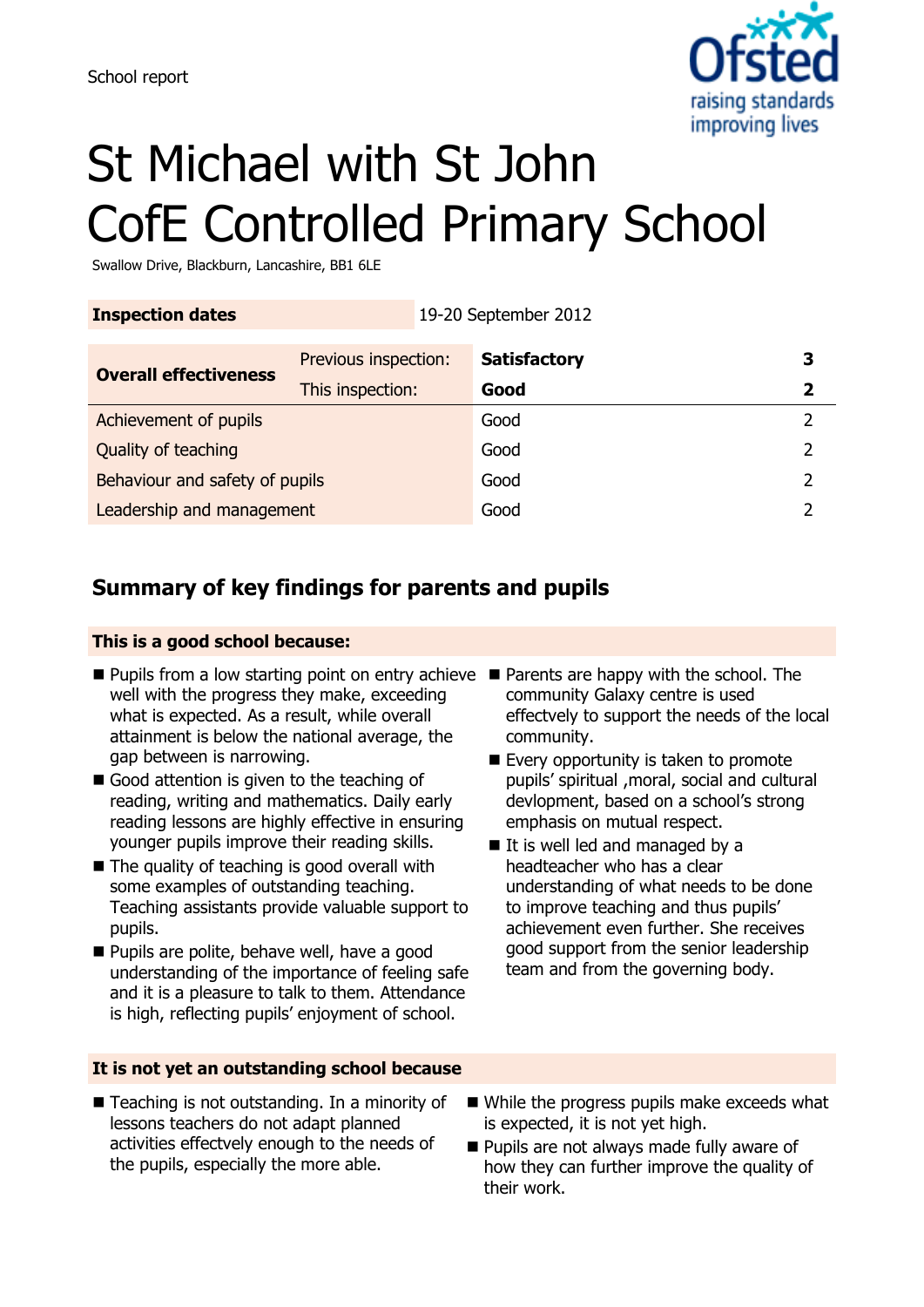

# St Michael with St John CofE Controlled Primary School

Swallow Drive, Blackburn, Lancashire, BB1 6LE

**Inspection dates** 19-20 September 2012

| <b>Overall effectiveness</b>   | Previous inspection: | <b>Satisfactory</b> | З |
|--------------------------------|----------------------|---------------------|---|
|                                | This inspection:     | Good                |   |
| Achievement of pupils          |                      | Good                |   |
| Quality of teaching            |                      | Good                |   |
| Behaviour and safety of pupils |                      | Good                |   |
| Leadership and management      |                      | Good                |   |

## **Summary of key findings for parents and pupils**

#### **This is a good school because:**

- Pupils from a low starting point on entry achieve Parents are happy with the school. The well with the progress they make, exceeding what is expected. As a result, while overall attainment is below the national average, the gap between is narrowing.
- Good attention is given to the teaching of reading, writing and mathematics. Daily early reading lessons are highly effective in ensuring younger pupils improve their reading skills.
- $\blacksquare$  The quality of teaching is good overall with some examples of outstanding teaching. Teaching assistants provide valuable support to pupils.
- Pupils are polite, behave well, have a good understanding of the importance of feeling safe and it is a pleasure to talk to them. Attendance is high, reflecting pupils' enjoyment of school.
- **It is not yet an outstanding school because**
- community Galaxy centre is used effectvely to support the needs of the local community.
- Every opportunity is taken to promote pupils' spiritual ,moral, social and cultural devlopment, based on a school's strong emphasis on mutual respect.
- If is well led and managed by a headteacher who has a clear understanding of what needs to be done to improve teaching and thus pupils' achievement even further. She receives good support from the senior leadership team and from the governing body.
- Teaching is not outstanding. In a minority of lessons teachers do not adapt planned activities effectvely enough to the needs of the pupils, especially the more able.
- While the progress pupils make exceeds what is expected, it is not yet high.
- Pupils are not always made fully aware of how they can further improve the quality of their work.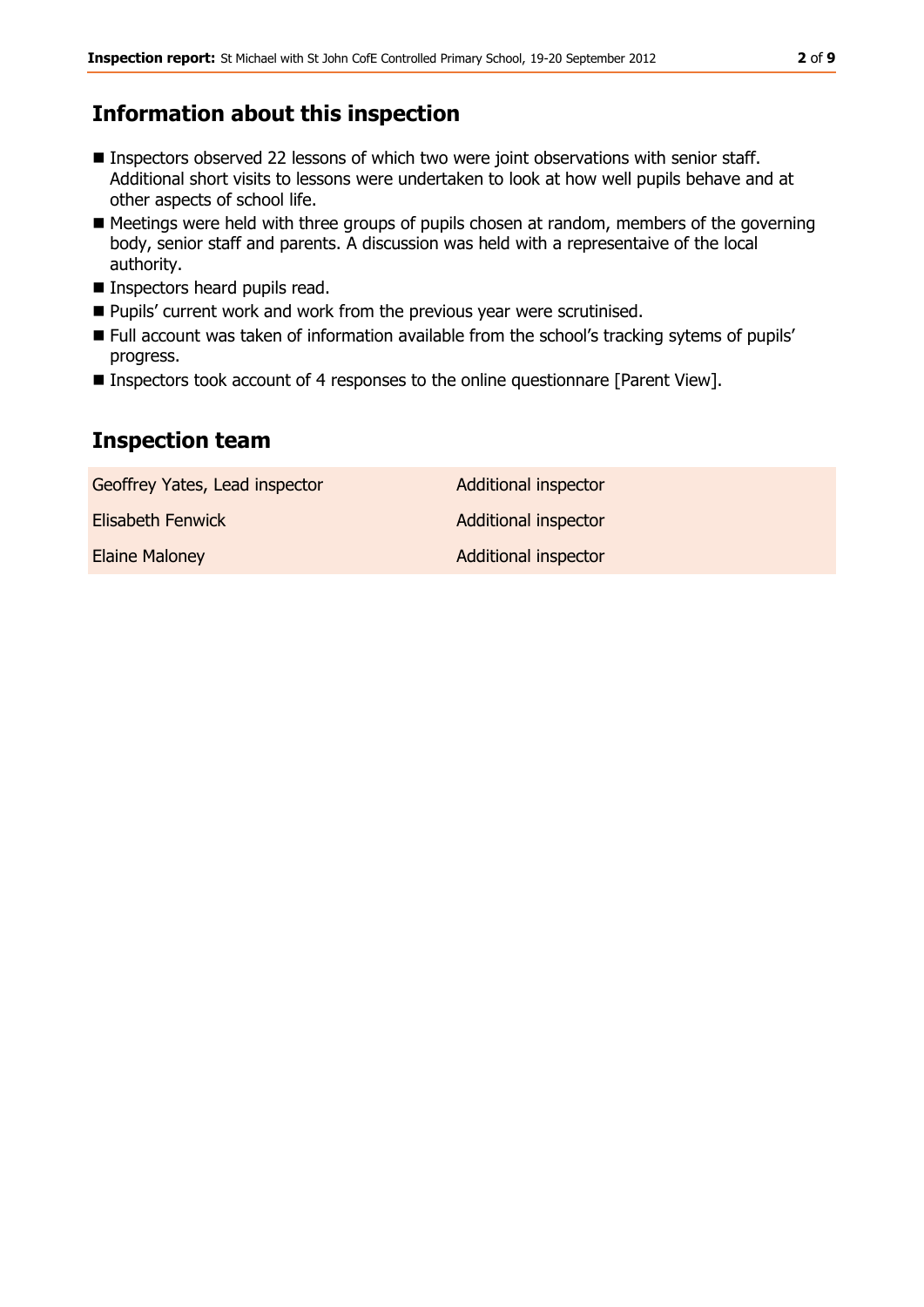### **Information about this inspection**

- Inspectors observed 22 lessons of which two were joint observations with senior staff. Additional short visits to lessons were undertaken to look at how well pupils behave and at other aspects of school life.
- Meetings were held with three groups of pupils chosen at random, members of the governing body, senior staff and parents. A discussion was held with a representaive of the local authority.
- **Inspectors heard pupils read.**
- **Pupils' current work and work from the previous year were scrutinised.**
- Full account was taken of information available from the school's tracking sytems of pupils' progress.
- Inspectors took account of 4 responses to the online questionnare [Parent View].

### **Inspection team**

| Geoffrey Yates, Lead inspector | Additional inspector        |
|--------------------------------|-----------------------------|
| Elisabeth Fenwick              | <b>Additional inspector</b> |
| <b>Elaine Maloney</b>          | <b>Additional inspector</b> |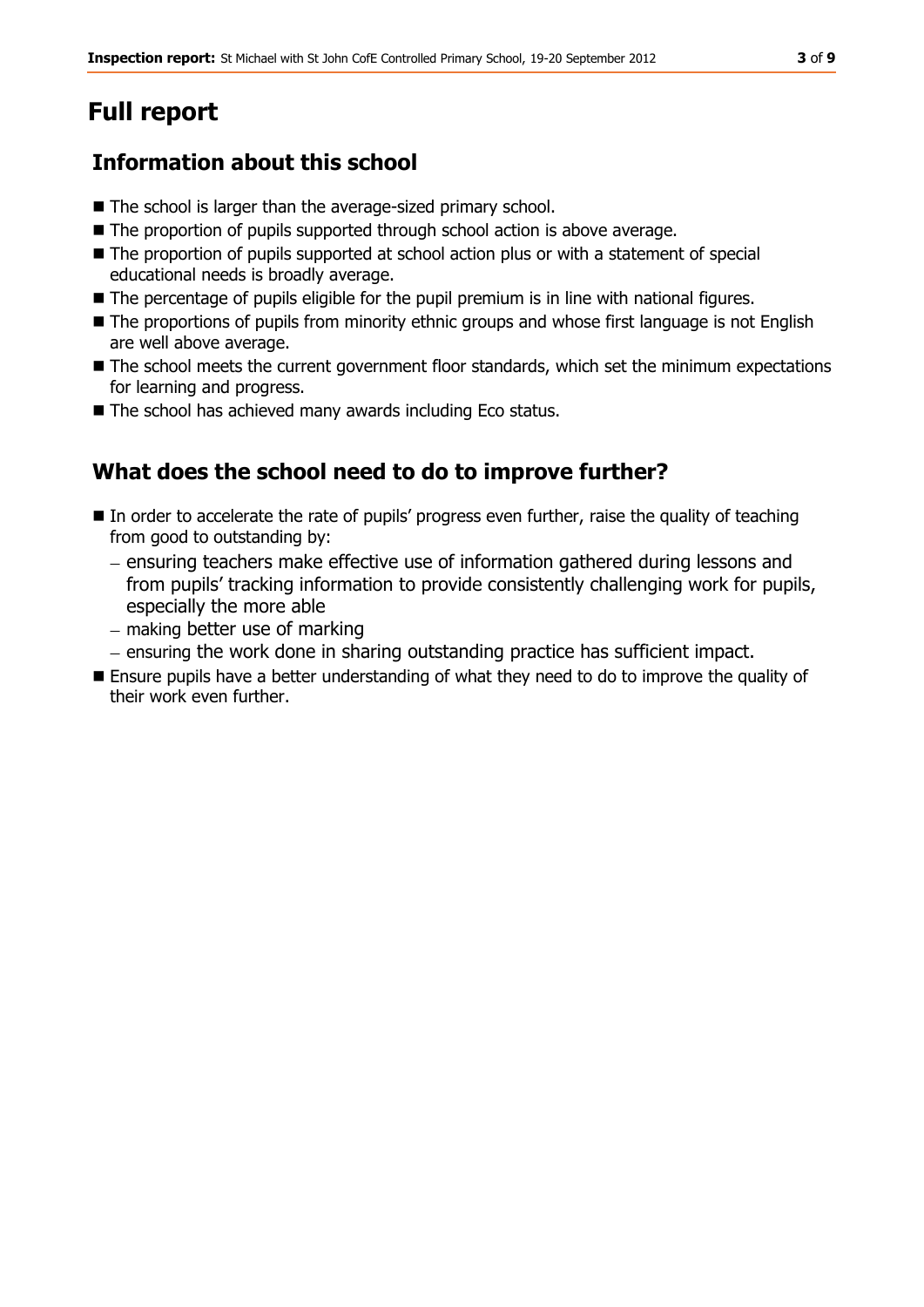## **Full report**

## **Information about this school**

- The school is larger than the average-sized primary school.
- The proportion of pupils supported through school action is above average.
- The proportion of pupils supported at school action plus or with a statement of special educational needs is broadly average.
- The percentage of pupils eligible for the pupil premium is in line with national figures.
- **The proportions of pupils from minority ethnic groups and whose first language is not English** are well above average.
- $\blacksquare$  The school meets the current government floor standards, which set the minimum expectations for learning and progress.
- The school has achieved many awards including Eco status.

## **What does the school need to do to improve further?**

- In order to accelerate the rate of pupils' progress even further, raise the quality of teaching from good to outstanding by:
	- ensuring teachers make effective use of information gathered during lessons and from pupils' tracking information to provide consistently challenging work for pupils, especially the more able
	- $-$  making better use of marking
	- ensuring the work done in sharing outstanding practice has sufficient impact.
- **Ensure pupils have a better understanding of what they need to do to improve the quality of** their work even further.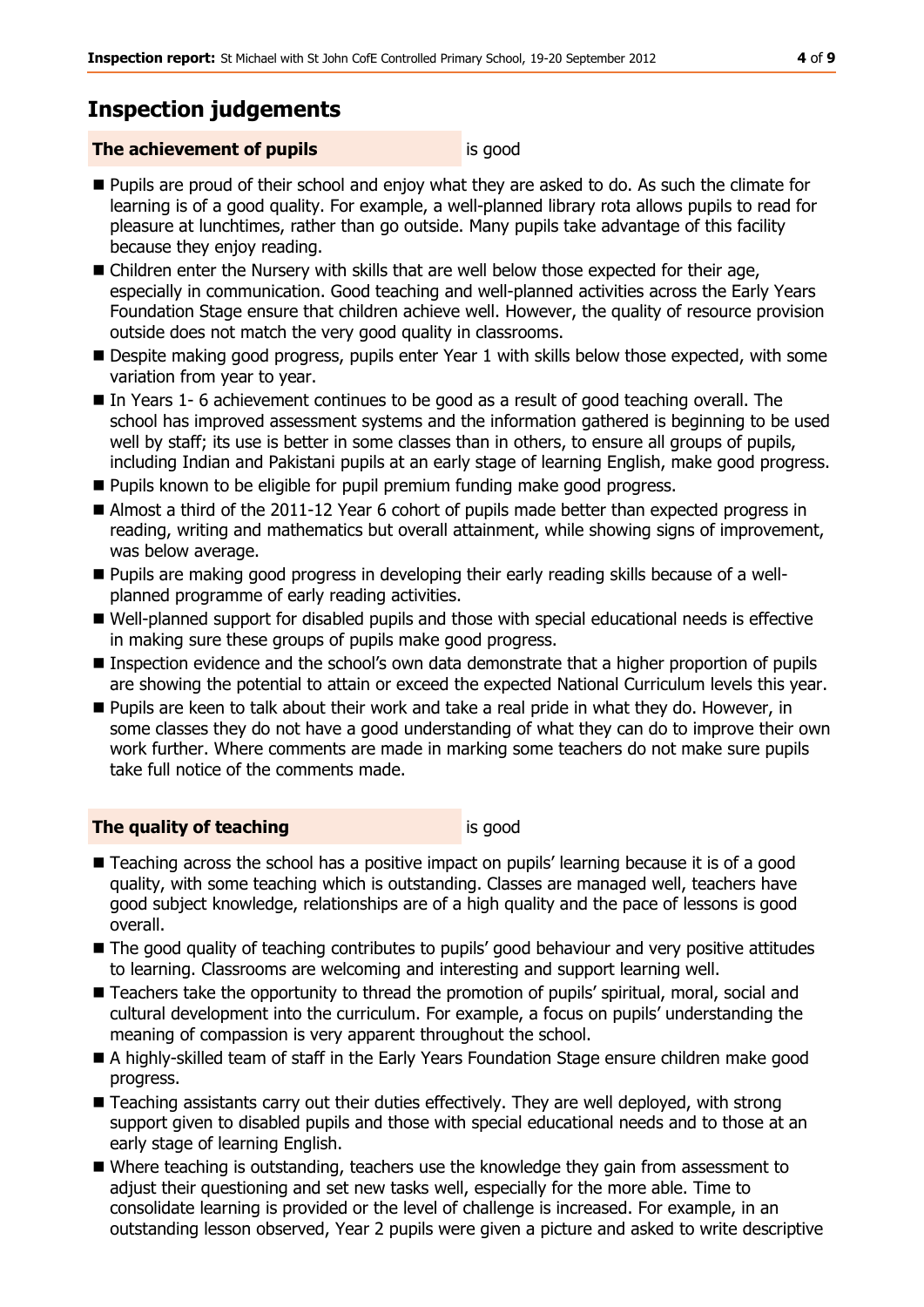## **Inspection judgements**

#### **The achievement of pupils is good** is good

- **Pupils are proud of their school and enjoy what they are asked to do. As such the climate for** learning is of a good quality. For example, a well-planned library rota allows pupils to read for pleasure at lunchtimes, rather than go outside. Many pupils take advantage of this facility because they enjoy reading.
- Children enter the Nursery with skills that are well below those expected for their age, especially in communication. Good teaching and well-planned activities across the Early Years Foundation Stage ensure that children achieve well. However, the quality of resource provision outside does not match the very good quality in classrooms.
- Despite making good progress, pupils enter Year 1 with skills below those expected, with some variation from year to year.
- In Years 1- 6 achievement continues to be good as a result of good teaching overall. The school has improved assessment systems and the information gathered is beginning to be used well by staff; its use is better in some classes than in others, to ensure all groups of pupils, including Indian and Pakistani pupils at an early stage of learning English, make good progress.
- **Pupils known to be eligible for pupil premium funding make good progress.**
- Almost a third of the 2011-12 Year 6 cohort of pupils made better than expected progress in reading, writing and mathematics but overall attainment, while showing signs of improvement, was below average.
- Pupils are making good progress in developing their early reading skills because of a wellplanned programme of early reading activities.
- Well-planned support for disabled pupils and those with special educational needs is effective in making sure these groups of pupils make good progress.
- Inspection evidence and the school's own data demonstrate that a higher proportion of pupils are showing the potential to attain or exceed the expected National Curriculum levels this year.
- Pupils are keen to talk about their work and take a real pride in what they do. However, in some classes they do not have a good understanding of what they can do to improve their own work further. Where comments are made in marking some teachers do not make sure pupils take full notice of the comments made.

#### **The quality of teaching** is good

- Teaching across the school has a positive impact on pupils' learning because it is of a good quality, with some teaching which is outstanding. Classes are managed well, teachers have good subject knowledge, relationships are of a high quality and the pace of lessons is good overall.
- $\blacksquare$  The good quality of teaching contributes to pupils' good behaviour and very positive attitudes to learning. Classrooms are welcoming and interesting and support learning well.
- Teachers take the opportunity to thread the promotion of pupils' spiritual, moral, social and cultural development into the curriculum. For example, a focus on pupils' understanding the meaning of compassion is very apparent throughout the school.
- A highly-skilled team of staff in the Early Years Foundation Stage ensure children make good progress.
- Teaching assistants carry out their duties effectively. They are well deployed, with strong support given to disabled pupils and those with special educational needs and to those at an early stage of learning English.
- Where teaching is outstanding, teachers use the knowledge they gain from assessment to adjust their questioning and set new tasks well, especially for the more able. Time to consolidate learning is provided or the level of challenge is increased. For example, in an outstanding lesson observed, Year 2 pupils were given a picture and asked to write descriptive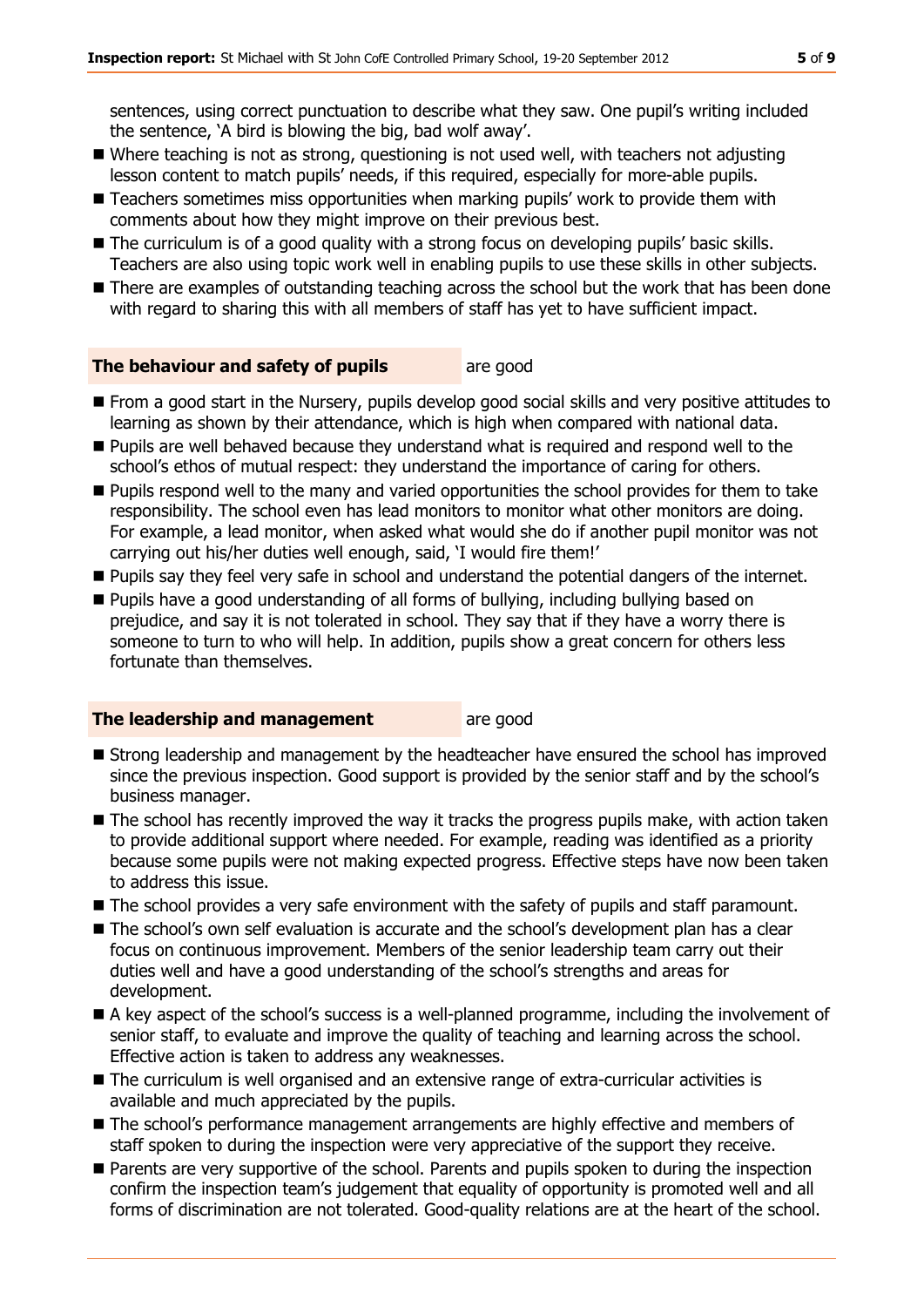sentences, using correct punctuation to describe what they saw. One pupil's writing included the sentence, 'A bird is blowing the big, bad wolf away'.

- Where teaching is not as strong, questioning is not used well, with teachers not adjusting lesson content to match pupils' needs, if this required, especially for more-able pupils.
- Teachers sometimes miss opportunities when marking pupils' work to provide them with comments about how they might improve on their previous best.
- The curriculum is of a good quality with a strong focus on developing pupils' basic skills. Teachers are also using topic work well in enabling pupils to use these skills in other subjects.
- There are examples of outstanding teaching across the school but the work that has been done with regard to sharing this with all members of staff has yet to have sufficient impact.

#### **The behaviour and safety of pupils** are good

- From a good start in the Nursery, pupils develop good social skills and very positive attitudes to learning as shown by their attendance, which is high when compared with national data.
- **Pupils are well behaved because they understand what is required and respond well to the** school's ethos of mutual respect: they understand the importance of caring for others.
- **Pupils respond well to the many and varied opportunities the school provides for them to take** responsibility. The school even has lead monitors to monitor what other monitors are doing. For example, a lead monitor, when asked what would she do if another pupil monitor was not carrying out his/her duties well enough, said, 'I would fire them!'
- Pupils say they feel very safe in school and understand the potential dangers of the internet.
- Pupils have a good understanding of all forms of bullying, including bullying based on prejudice, and say it is not tolerated in school. They say that if they have a worry there is someone to turn to who will help. In addition, pupils show a great concern for others less fortunate than themselves.

#### **The leadership and management** are good

- **Strong leadership and management by the headteacher have ensured the school has improved** since the previous inspection. Good support is provided by the senior staff and by the school's business manager.
- The school has recently improved the way it tracks the progress pupils make, with action taken to provide additional support where needed. For example, reading was identified as a priority because some pupils were not making expected progress. Effective steps have now been taken to address this issue.
- The school provides a very safe environment with the safety of pupils and staff paramount.
- The school's own self evaluation is accurate and the school's development plan has a clear focus on continuous improvement. Members of the senior leadership team carry out their duties well and have a good understanding of the school's strengths and areas for development.
- A key aspect of the school's success is a well-planned programme, including the involvement of senior staff, to evaluate and improve the quality of teaching and learning across the school. Effective action is taken to address any weaknesses.
- The curriculum is well organised and an extensive range of extra-curricular activities is available and much appreciated by the pupils.
- The school's performance management arrangements are highly effective and members of staff spoken to during the inspection were very appreciative of the support they receive.
- **Parents are very supportive of the school. Parents and pupils spoken to during the inspection** confirm the inspection team's judgement that equality of opportunity is promoted well and all forms of discrimination are not tolerated. Good-quality relations are at the heart of the school.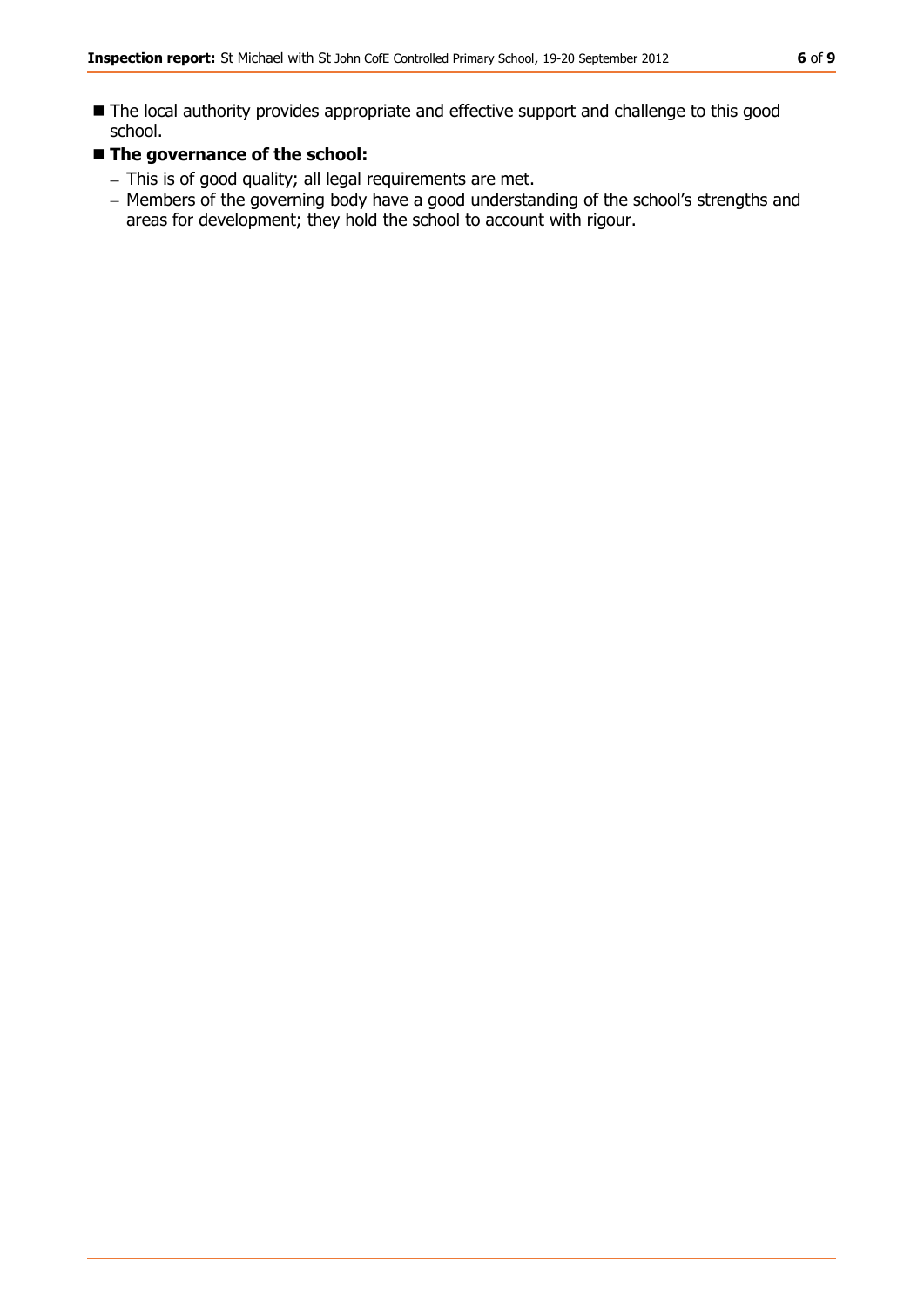- The local authority provides appropriate and effective support and challenge to this good school.
- The governance of the school:
	- This is of good quality; all legal requirements are met.
	- Members of the governing body have a good understanding of the school's strengths and areas for development; they hold the school to account with rigour.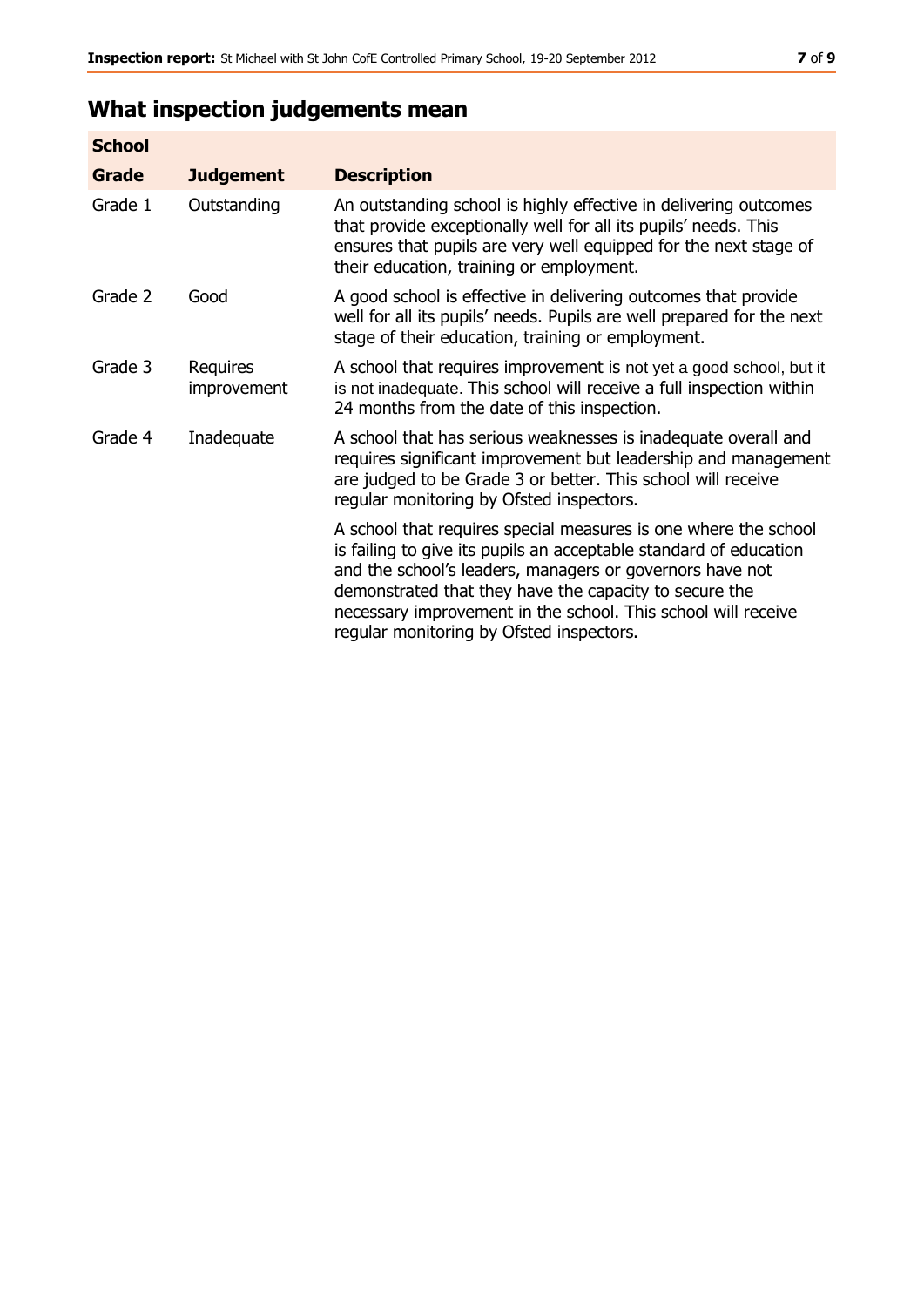## **What inspection judgements mean**

| <b>School</b> |                                |                                                                                                                                                                                                                                                                                                                                                                         |
|---------------|--------------------------------|-------------------------------------------------------------------------------------------------------------------------------------------------------------------------------------------------------------------------------------------------------------------------------------------------------------------------------------------------------------------------|
| Grade         | <b>Judgement</b>               | <b>Description</b>                                                                                                                                                                                                                                                                                                                                                      |
| Grade 1       | Outstanding                    | An outstanding school is highly effective in delivering outcomes<br>that provide exceptionally well for all its pupils' needs. This<br>ensures that pupils are very well equipped for the next stage of<br>their education, training or employment.                                                                                                                     |
| Grade 2       | Good                           | A good school is effective in delivering outcomes that provide<br>well for all its pupils' needs. Pupils are well prepared for the next<br>stage of their education, training or employment.                                                                                                                                                                            |
| Grade 3       | Requires<br><i>improvement</i> | A school that requires improvement is not yet a good school, but it<br>is not inadequate. This school will receive a full inspection within<br>24 months from the date of this inspection.                                                                                                                                                                              |
| Grade 4       | Inadequate                     | A school that has serious weaknesses is inadequate overall and<br>requires significant improvement but leadership and management<br>are judged to be Grade 3 or better. This school will receive<br>regular monitoring by Ofsted inspectors.                                                                                                                            |
|               |                                | A school that requires special measures is one where the school<br>is failing to give its pupils an acceptable standard of education<br>and the school's leaders, managers or governors have not<br>demonstrated that they have the capacity to secure the<br>necessary improvement in the school. This school will receive<br>regular monitoring by Ofsted inspectors. |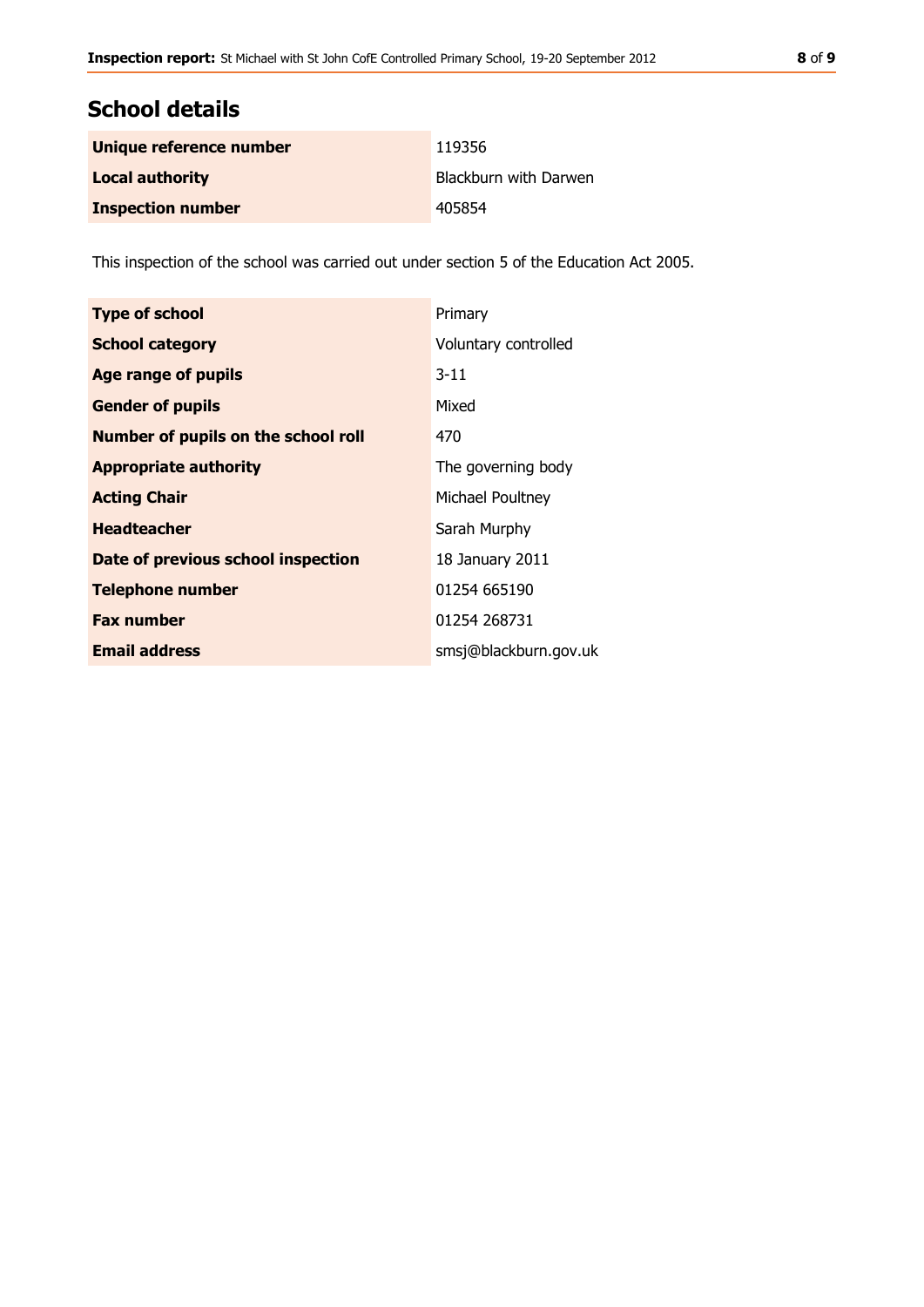## **School details**

| Unique reference number  | 119356                |
|--------------------------|-----------------------|
| <b>Local authority</b>   | Blackburn with Darwen |
| <b>Inspection number</b> | 405854                |

This inspection of the school was carried out under section 5 of the Education Act 2005.

| <b>Type of school</b>               | Primary               |
|-------------------------------------|-----------------------|
| <b>School category</b>              | Voluntary controlled  |
| Age range of pupils                 | $3 - 11$              |
| <b>Gender of pupils</b>             | Mixed                 |
| Number of pupils on the school roll | 470                   |
| <b>Appropriate authority</b>        | The governing body    |
| <b>Acting Chair</b>                 | Michael Poultney      |
| <b>Headteacher</b>                  | Sarah Murphy          |
| Date of previous school inspection  | 18 January 2011       |
| <b>Telephone number</b>             | 01254 665190          |
| <b>Fax number</b>                   | 01254 268731          |
| <b>Email address</b>                | smsj@blackburn.gov.uk |